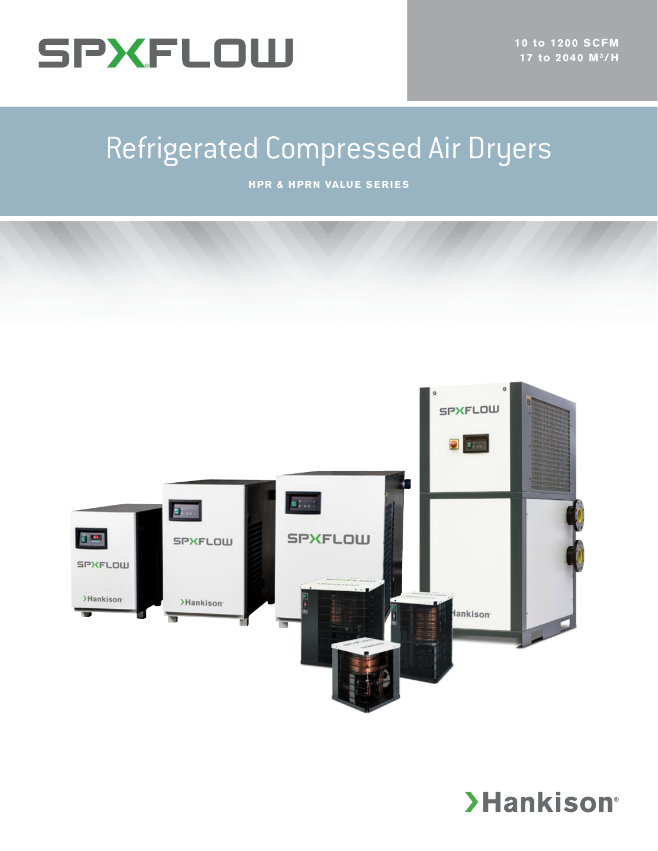

# Refrigerated Compressed Air Dryers

**HPR & HPRN VALUE SERIES**



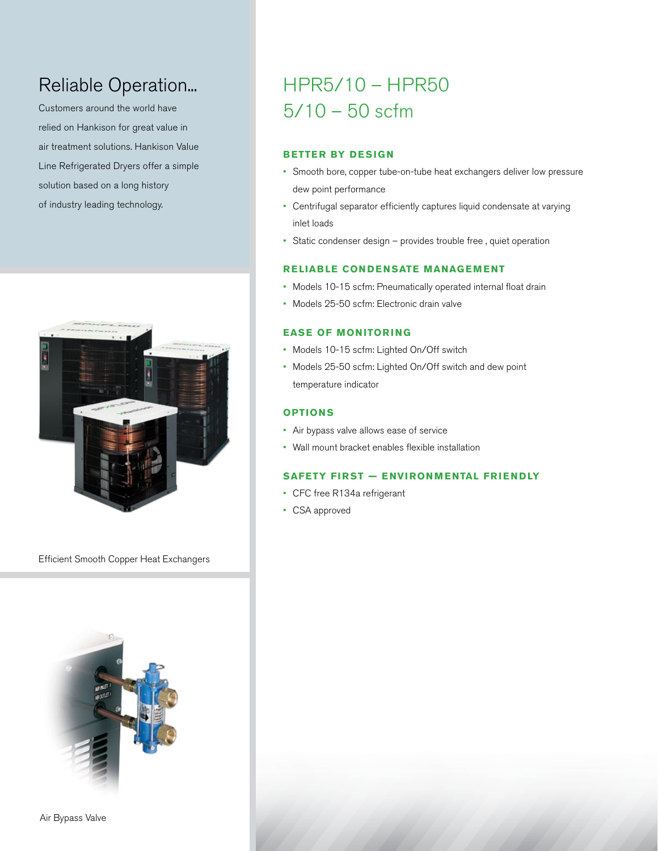# Reliable Operation...

Customers around the world have relied on Hankison for great value in air treatment solutions. Hankison Value Line Refrigerated Dryers offer a simple solution based on a long history of industry leading technology.



Efficient Smooth Copper Heat Exchangers



# HPR5/10 – HPR50 5/10 – 50 scfm

# **BETTER BY DESIGN**

- Smooth bore, copper tube-on-tube heat exchangers deliver low pressure dew point performance
- Centrifugal separator efficiently captures liquid condensate at varying inlet loads
- Static condenser design provides trouble free , quiet operation

### **RELIABLE CONDENSATE MANAGEMENT**

- Models 10-15 scfm: Pneumatically operated internal float drain
- Models 25-50 scfm: Electronic drain valve

### **EASE OF MONITORING**

- Models 10-15 scfm: Lighted On/Off switch
- Models 25-50 scfm: Lighted On/Off switch and dew point temperature indicator

### **OPTIONS**

- Air bypass valve allows ease of service
- Wall mount bracket enables flexible installation

### **SAFETY FIRST — ENVIRONMENTAL FRIENDLY**

- CFC free R134a refrigerant
- CSA approved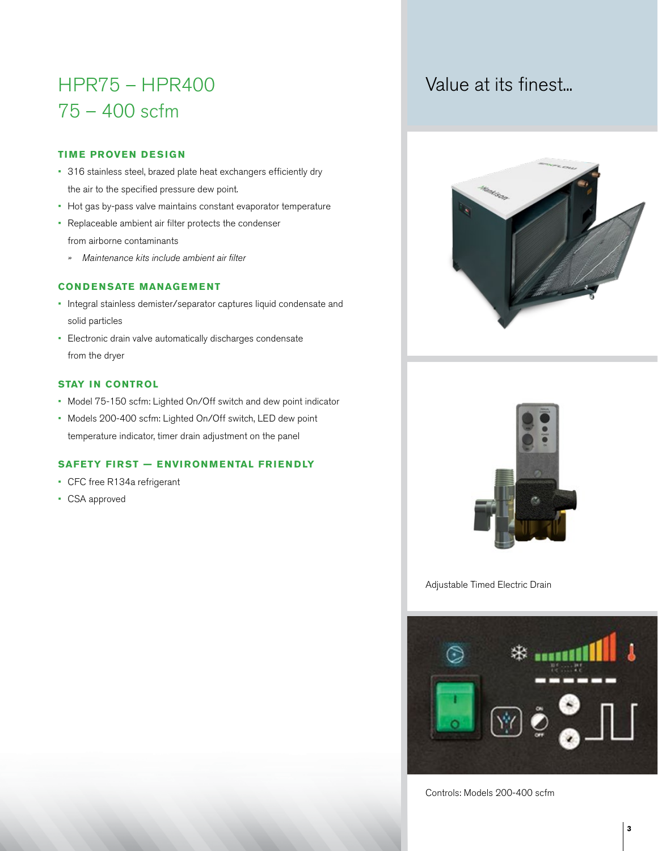# HPR75 – HPR400 75 – 400 scfm

# **TIME PROVEN DESIGN**

- 316 stainless steel, brazed plate heat exchangers efficiently dry the air to the specified pressure dew point.
- Hot gas by-pass valve maintains constant evaporator temperature
- Replaceable ambient air filter protects the condenser from airborne contaminants
	- *» Maintenance kits include ambient air filter*

# **CONDENSATE MANAGEMENT**

- Integral stainless demister/separator captures liquid condensate and solid particles
- Electronic drain valve automatically discharges condensate from the dryer

### **STAY IN CONTROL**

- Model 75-150 scfm: Lighted On/Off switch and dew point indicator
- Models 200-400 scfm: Lighted On/Off switch, LED dew point temperature indicator, timer drain adjustment on the panel

# **SAFETY FIRST — ENVIRONMENTAL FRIENDLY**

- CFC free R134a refrigerant
- CSA approved







Adjustable Timed Electric Drain



Controls: Models 200-400 scfm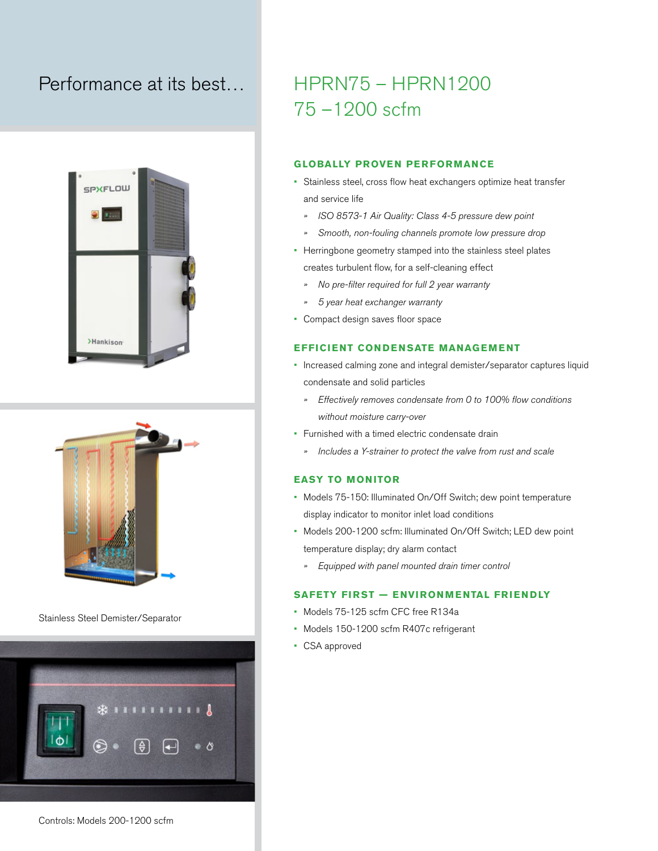# Performance at its best…





Stainless Steel Demister/Separator



# Controls: Models 200-1200 scfm

# HPRN75 – HPRN1200 75 –1200 scfm

#### **GLOBALLY PROVEN PERFORMANCE**

- Stainless steel, cross flow heat exchangers optimize heat transfer and service life
	- *» ISO 8573-1 Air Quality: Class 4-5 pressure dew point*
	- *» Smooth, non-fouling channels promote low pressure drop*
- Herringbone geometry stamped into the stainless steel plates creates turbulent flow, for a self-cleaning effect
	- *» No pre-filter required for full 2 year warranty*
	- *» 5 year heat exchanger warranty*
- Compact design saves floor space

#### **EFFICIENT CONDENSATE MANAGEMENT**

- Increased calming zone and integral demister/separator captures liquid condensate and solid particles
	- *» Effectively removes condensate from 0 to 100% flow conditions without moisture carry-over*
- Furnished with a timed electric condensate drain
	- *» Includes a Y-strainer to protect the valve from rust and scale*

### **EASY TO MONITOR**

- Models 75-150: Illuminated On/Off Switch; dew point temperature display indicator to monitor inlet load conditions
- Models 200-1200 scfm: Illuminated On/Off Switch; LED dew point temperature display; dry alarm contact
	- *» Equipped with panel mounted drain timer control*

### **SAFETY FIRST — ENVIRONMENTAL FRIENDLY**

- Models 75-125 scfm CFC free R134a
- Models 150-1200 scfm R407c refrigerant
- CSA approved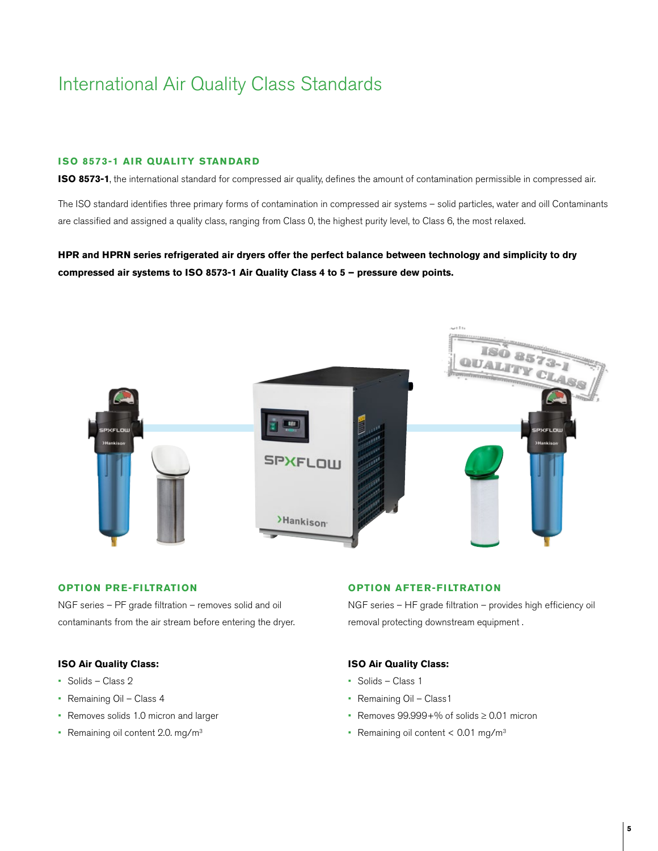# International Air Quality Class Standards

#### **ISO 8573-1 AIR QUALITY STANDARD**

**ISO 8573-1**, the international standard for compressed air quality, defines the amount of contamination permissible in compressed air.

The ISO standard identifies three primary forms of contamination in compressed air systems – solid particles, water and oill Contaminants are classified and assigned a quality class, ranging from Class 0, the highest purity level, to Class 6, the most relaxed.

**HPR and HPRN series refrigerated air dryers offer the perfect balance between technology and simplicity to dry compressed air systems to ISO 8573-1 Air Quality Class 4 to 5 – pressure dew points.** 



### **OPTION PRE-FILTRATION**

NGF series – PF grade filtration – removes solid and oil contaminants from the air stream before entering the dryer.

#### **ISO Air Quality Class:**

- Solids Class 2
- Remaining Oil Class 4
- Removes solids 1.0 micron and larger
- Remaining oil content 2.0. mg/m<sup>3</sup>

#### **OPTION AFTER-FILTRATION**

NGF series – HF grade filtration – provides high efficiency oil removal protecting downstream equipment .

#### **ISO Air Quality Class:**

- Solids Class 1
- Remaining Oil Class1
- Removes 99.999+% of solids ≥ 0.01 micron
- Remaining oil content  $< 0.01$  mg/m<sup>3</sup>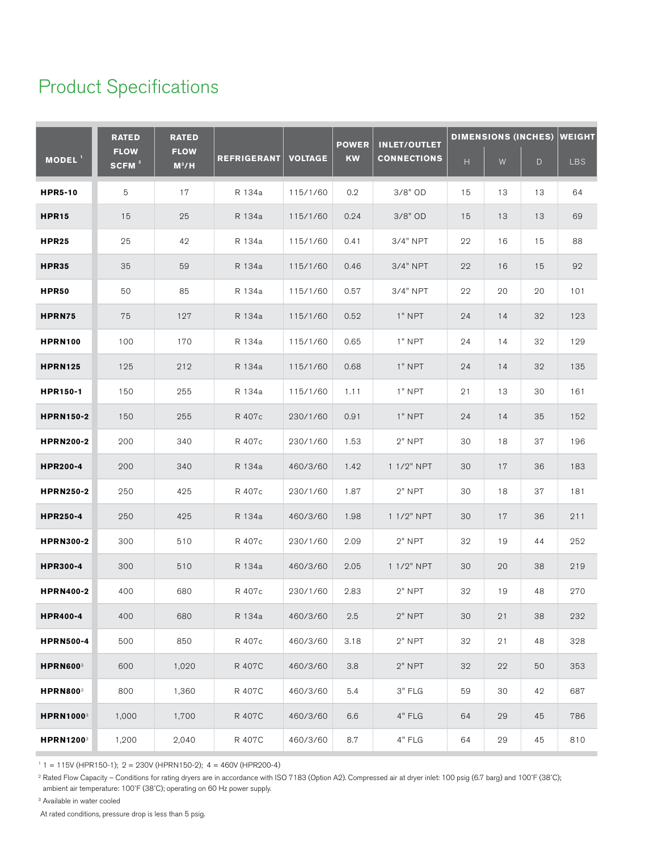# Product Specifications

|                              | <b>RATED</b><br><b>FLOW</b><br>SCFM <sup>2</sup> | <b>RATED</b><br><b>FLOW</b><br>$M^3/H$ | <b>REFRIGERANT</b> | <b>VOLTAGE</b> | <b>POWER</b><br><b>KW</b> | <b>INLET/OUTLET</b> | <b>DIMENSIONS (INCHES)</b> |           |              | <b>WEIGHT</b> |
|------------------------------|--------------------------------------------------|----------------------------------------|--------------------|----------------|---------------------------|---------------------|----------------------------|-----------|--------------|---------------|
| MODEL <sup>1</sup>           |                                                  |                                        |                    |                |                           | <b>CONNECTIONS</b>  | $\boldsymbol{\mathsf{H}}$  | ${\sf W}$ | $\mathsf{D}$ | LBS           |
| <b>HPR5-10</b>               | 5                                                | 17                                     | R 134a             | 115/1/60       | 0.2                       | 3/8" OD             | 15                         | 13        | 13           | 64            |
| <b>HPR15</b>                 | 15                                               | 25                                     | R 134a             | 115/1/60       | 0.24                      | $3/8"$ OD           | 15                         | 13        | 13           | 69            |
| <b>HPR25</b>                 | 25                                               | 42                                     | R 134a             | 115/1/60       | 0.41                      | 3/4" NPT            | 22                         | 16        | 15           | 88            |
| <b>HPR35</b>                 | 35                                               | 59                                     | R 134a             | 115/1/60       | 0.46                      | 3/4" NPT            | 22                         | 16        | 15           | 92            |
| HPR50                        | 50                                               | 85                                     | R 134a             | 115/1/60       | 0.57                      | 3/4" NPT            | 22                         | 20        | 20           | 101           |
| HPRN75                       | 75                                               | 127                                    | R 134a             | 115/1/60       | 0.52                      | $1"$ NPT            | 24                         | 14        | 32           | 123           |
| <b>HPRN100</b>               | 100                                              | 170                                    | R 134a             | 115/1/60       | 0.65                      | 1" NPT              | 24                         | 14        | 32           | 129           |
| <b>HPRN125</b>               | 125                                              | 212                                    | R 134a             | 115/1/60       | 0.68                      | 1" NPT              | 24                         | 14        | 32           | 135           |
| HPR150-1                     | 150                                              | 255                                    | R 134a             | 115/1/60       | 1.11                      | 1" NPT              | 21                         | 13        | 30           | 161           |
| <b>HPRN150-2</b>             | 150                                              | 255                                    | R 407c             | 230/1/60       | 0.91                      | $1"$ NPT            | 24                         | 14        | 35           | 152           |
| <b>HPRN200-2</b>             | 200                                              | 340                                    | R 407c             | 230/1/60       | 1.53                      | $2"$ NPT            | 30                         | 18        | 37           | 196           |
| <b>HPR200-4</b>              | 200                                              | 340                                    | R 134a             | 460/3/60       | 1.42                      | 1 1/2" NPT          | 30                         | 17        | 36           | 183           |
| <b>HPRN250-2</b>             | 250                                              | 425                                    | R 407c             | 230/1/60       | 1.87                      | $2"$ NPT            | 30                         | 18        | 37           | 181           |
| <b>HPR250-4</b>              | 250                                              | 425                                    | R 134a             | 460/3/60       | 1.98                      | 1 1/2" NPT          | 30                         | 17        | 36           | 211           |
| <b>HPRN300-2</b>             | 300                                              | 510                                    | R 407c             | 230/1/60       | 2.09                      | $2"$ NPT            | 32                         | 19        | 44           | 252           |
| <b>HPR300-4</b>              | 300                                              | 510                                    | R 134a             | 460/3/60       | 2.05                      | 1 1/2" NPT          | 30                         | 20        | 38           | 219           |
| <b>HPRN400-2</b>             | 400                                              | 680                                    | R 407c             | 230/1/60       | 2.83                      | $2"$ NPT            | 32                         | 19        | 48           | 270           |
| <b>HPR400-4</b>              | 400                                              | 680                                    | R 134a             | 460/3/60       | 2.5                       | $2"$ NPT            | 30                         | 21        | 38           | 232           |
| <b>HPRN500-4</b>             | 500                                              | 850                                    | R 407c             | 460/3/60       | 3.18                      | $2"$ NPT            | 32                         | 21        | 48           | 328           |
| <b>HPRN6003</b>              | 600                                              | 1,020                                  | R 407C             | 460/3/60       | $3.8\,$                   | $2"$ NPT            | 32                         | 22        | 50           | 353           |
| <b>HPRN800</b> <sup>3</sup>  | 800                                              | 1,360                                  | R 407C             | 460/3/60       | 5.4                       | $3"$ FLG            | 59                         | 30        | 42           | 687           |
| <b>HPRN1000</b> 3            | 1,000                                            | 1,700                                  | R 407C             | 460/3/60       | $6.6\,$                   | 4" FLG              | 64                         | 29        | 45           | 786           |
| <b>HPRN1200</b> <sup>3</sup> | 1,200                                            | 2,040                                  | R 407C             | 460/3/60       | 8.7                       | 4" FLG              | 64                         | 29        | 45           | 810           |

 $1 = 115V$  (HPR150-1); 2 = 230V (HPRN150-2); 4 = 460V (HPR200-4)

<sup>2</sup> Rated Flow Capacity – Conditions for rating dryers are in accordance with ISO 7183 (Option A2). Compressed air at dryer inlet: 100 psig (6.7 barg) and 100°F (38°C); ambient air temperature: 100˚F (38˚C); operating on 60 Hz power supply.

<sup>3</sup> Available in water cooled

At rated conditions, pressure drop is less than 5 psig.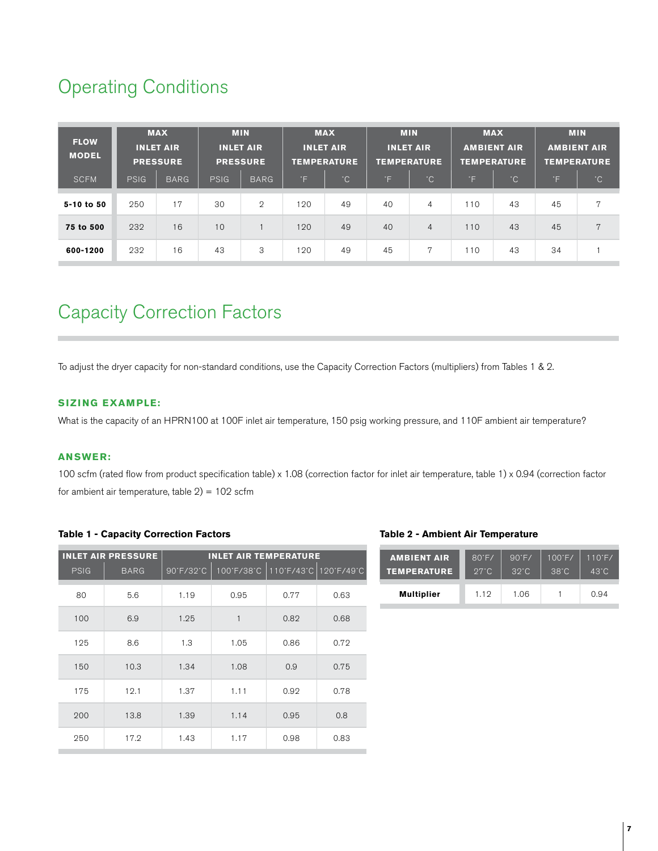# Operating Conditions

| <b>FLOW</b><br><b>MODEL</b> | <b>MAX</b><br><b>INLET AIR</b><br><b>PRESSURE</b> |             | <b>MIN</b><br><b>INLET AIR</b><br><b>PRESSURE</b> |               | <b>MAX</b><br><b>INLET AIR</b><br><b>TEMPERATURE</b> |              | <b>MIN</b><br><b>INLET AIR</b><br><b>TEMPERATURE</b> |                | <b>MAX</b><br><b>AMBIENT AIR</b><br><b>TEMPERATURE</b> |              | <b>MIN</b><br><b>AMBIENT AIR</b><br><b>TEMPERATURE</b> |              |
|-----------------------------|---------------------------------------------------|-------------|---------------------------------------------------|---------------|------------------------------------------------------|--------------|------------------------------------------------------|----------------|--------------------------------------------------------|--------------|--------------------------------------------------------|--------------|
| <b>SCFM</b>                 | PSIG                                              | <b>BARG</b> | <b>PSIG</b>                                       | <b>BARG</b>   | °F                                                   | $^{\circ}$ C | ľΞ                                                   | $^{\circ}$ C   | °F.                                                    | $^{\circ}$ C | TE.                                                    | $^{\circ}$ C |
| 5-10 to 50                  | 250                                               | 17          | 30                                                | $\mathcal{D}$ | 120                                                  | 49           | 40                                                   | $\overline{4}$ | 110                                                    | 43           | 45                                                     | 7            |
| 75 to 500                   | 232                                               | 16          | 10                                                |               | 120                                                  | 49           | 40                                                   | $\overline{4}$ | 10                                                     | 43           | 45                                                     | 7            |
| 600-1200                    | 232                                               | 16          | 43                                                | 3             | 120                                                  | 49           | 45                                                   | $\overline{7}$ | 110                                                    | 43           | 34                                                     |              |

# Capacity Correction Factors

To adjust the dryer capacity for non-standard conditions, use the Capacity Correction Factors (multipliers) from Tables 1 & 2.

## **SIZING EXAMPLE:**

What is the capacity of an HPRN100 at 100F inlet air temperature, 150 psig working pressure, and 110F ambient air temperature?

### **ANSWER:**

100 scfm (rated flow from product specification table) x 1.08 (correction factor for inlet air temperature, table 1) x 0.94 (correction factor for ambient air temperature, table  $2$ ) = 102 scfm

### **Table 1 - Capacity Correction Factors**

| <b>INLET AIR PRESSURE</b> | <b>INLET AIR TEMPERATURE</b> |      |      |                                  |  |  |  |  |
|---------------------------|------------------------------|------|------|----------------------------------|--|--|--|--|
| <b>BARG</b>               | 90°F/32°C                    |      |      |                                  |  |  |  |  |
| 5.6                       | 1.19                         | 0.95 | 0.77 | 0.63                             |  |  |  |  |
| 6.9                       | 1.25                         | 1    | 0.82 | 0.68                             |  |  |  |  |
| 8.6                       | 1.3                          | 1.05 | 0.86 | 0.72                             |  |  |  |  |
| 10.3                      | 1.34                         | 1.08 | 0.9  | 0.75                             |  |  |  |  |
| 12.1                      | 1.37                         | 1.11 | 0.92 | 0.78                             |  |  |  |  |
| 13.8                      | 1.39                         | 1.14 | 0.95 | 0.8                              |  |  |  |  |
| 17.2                      | 1.43                         | 1.17 | 0.98 | 0.83                             |  |  |  |  |
|                           |                              |      |      | 100°F/38°C 110°F/43°C 120°F/49°C |  |  |  |  |

#### **Table 2 - Ambient Air Temperature**

| <b>AMBIENT AIR</b> | $80^\circ F/$ | $90^\circ F/$ | $100^{\circ}$ F/ | $110^\circ F/$ |  |
|--------------------|---------------|---------------|------------------|----------------|--|
| <b>TEMPERATURE</b> | $27^\circ C$  | $39^\circ C$  | $38^\circ C$     | $43^\circ C$   |  |
| <b>Multiplier</b>  | 1.19          | 1.06          |                  | 0.94           |  |